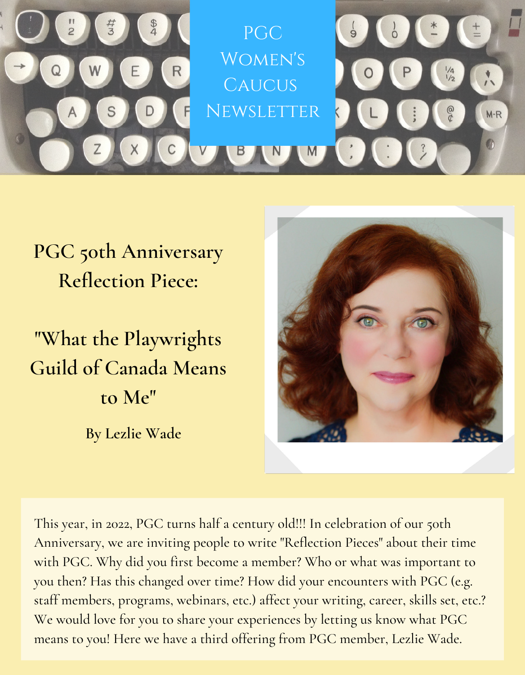

## **PGC 50th Anniversary Reflection Piece:**

**"What the Playwrights Guild of Canada Means to Me"**

**By Lezlie Wade**



This year, in 2022, PGC turns half a century old!!! In celebration of our 50th Anniversary, we are inviting people to write "Reflection Pieces" about their time with PGC. Why did you first become a member? Who or what was important to you then? Has this changed over time? How did your encounters with PGC (e.g. staff members, programs, webinars, etc.) affect your writing, career, skills set, etc.? We would love for you to share your experiences by letting us know what PGC means to you! Here we have a third offering from PGC member, Lezlie Wade.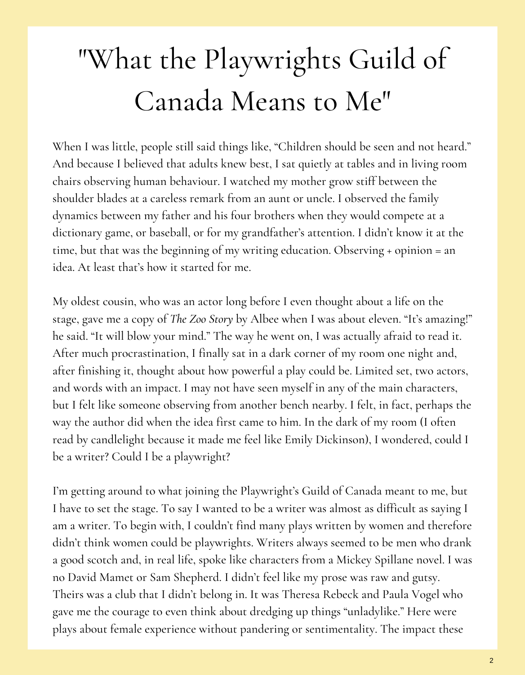## "What the Playwrights Guild of Canada Means to Me"

When I was little, people still said things like, "Children should be seen and not heard." And because I believed that adults knew best, I sat quietly at tables and in living room chairs observing human behaviour. I watched my mother grow stiff between the shoulder blades at a careless remark from an aunt or uncle. I observed the family dynamics between my father and his four brothers when they would compete at a dictionary game, or baseball, or for my grandfather's attention. I didn't know it at the time, but that was the beginning of my writing education. Observing + opinion = an idea. At least that's how it started for me.

My oldest cousin, who was an actor long before I even thought about a life on the stage, gave me a copy of *The Zoo Story* by Albee when I was about eleven. "It's amazing!" he said. "It will blow your mind." The way he went on, I was actually afraid to read it. After much procrastination, I finally sat in a dark corner of my room one night and, after finishing it, thought about how powerful a play could be. Limited set, two actors, and words with an impact. I may not have seen myself in any of the main characters, but I felt like someone observing from another bench nearby. I felt, in fact, perhaps the way the author did when the idea first came to him. In the dark of my room (I often read by candlelight because it made me feel like Emily Dickinson), I wondered, could I be a writer? Could I be a playwright?

I'm getting around to what joining the Playwright's Guild of Canada meant to me, but I have to set the stage. To say I wanted to be a writer was almost as difficult as saying I am a writer. To begin with, I couldn't find many plays written by women and therefore didn't think women could be playwrights. Writers always seemed to be men who drank a good scotch and, in real life, spoke like characters from a Mickey Spillane novel. I was no David Mamet or Sam Shepherd. I didn't feel like my prose was raw and gutsy. Theirs was a club that I didn't belong in. It was Theresa Rebeck and Paula Vogel who gave me the courage to even think about dredging up things "unladylike." Here were plays about female experience without pandering or sentimentality. The impact these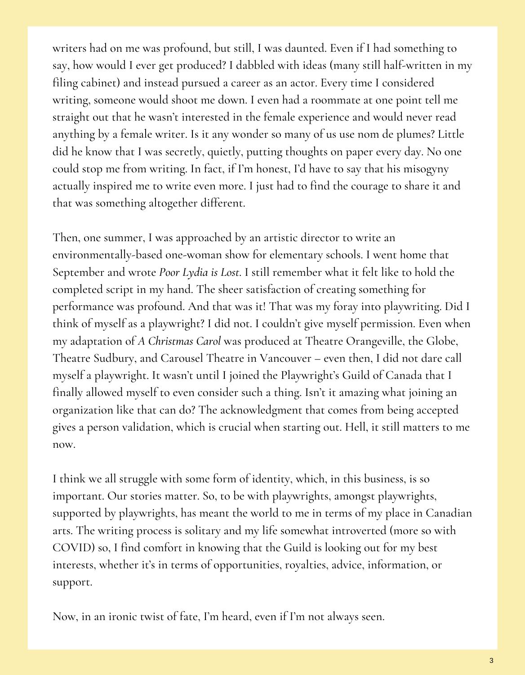writers had on me was profound, but still, I was daunted. Even if I had something to say, how would I ever get produced? I dabbled with ideas (many still half-written in my filing cabinet) and instead pursued a career as an actor. Every time I considered writing, someone would shoot me down. I even had a roommate at one point tell me straight out that he wasn't interested in the female experience and would never read anything by a female writer. Is it any wonder so many of us use nom de plumes? Little did he know that I was secretly, quietly, putting thoughts on paper every day. No one could stop me from writing. In fact, if I'm honest, I'd have to say that his misogyny actually inspired me to write even more. I just had to find the courage to share it and that was something altogether different.

Then, one summer, I was approached by an artistic director to write an environmentally-based one-woman show for elementary schools. I went home that September and wrote *Poor Lydia is Lost*. I still remember what it felt like to hold the completed script in my hand. The sheer satisfaction of creating something for performance was profound. And that was it! That was my foray into playwriting. Did I think of myself as a playwright? I did not. I couldn't give myself permission. Even when my adaptation of *A Christmas Carol* was produced at Theatre Orangeville, the Globe, Theatre Sudbury, and Carousel Theatre in Vancouver – even then, I did not dare call myself a playwright. It wasn't until I joined the Playwright's Guild of Canada that I finally allowed myself to even consider such a thing. Isn't it amazing what joining an organization like that can do? The acknowledgment that comes from being accepted gives a person validation, which is crucial when starting out. Hell, it still matters to me now.

I think we all struggle with some form of identity, which, in this business, is so important. Our stories matter. So, to be with playwrights, amongst playwrights, supported by playwrights, has meant the world to me in terms of my place in Canadian arts. The writing process is solitary and my life somewhat introverted (more so with COVID) so, I find comfort in knowing that the Guild is looking out for my best interests, whether it's in terms of opportunities, royalties, advice, information, or support.

Now, in an ironic twist of fate, I'm heard, even if I'm not always seen.